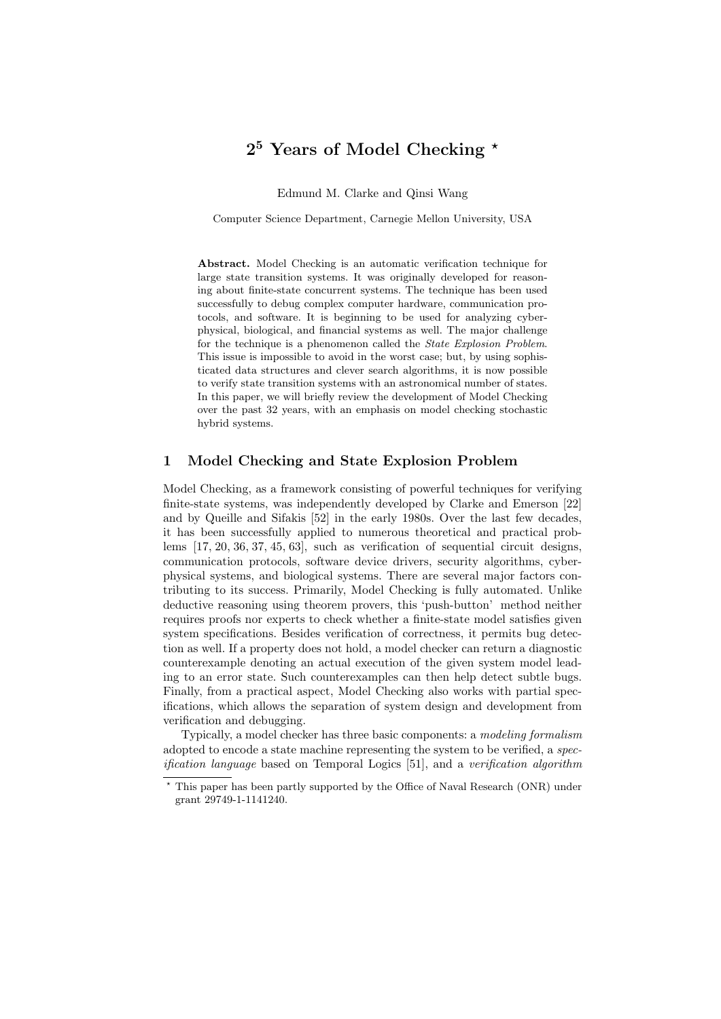# 2<sup>5</sup> Years of Model Checking \*

Edmund M. Clarke and Qinsi Wang

Computer Science Department, Carnegie Mellon University, USA

Abstract. Model Checking is an automatic verification technique for large state transition systems. It was originally developed for reasoning about finite-state concurrent systems. The technique has been used successfully to debug complex computer hardware, communication protocols, and software. It is beginning to be used for analyzing cyberphysical, biological, and financial systems as well. The major challenge for the technique is a phenomenon called the State Explosion Problem. This issue is impossible to avoid in the worst case; but, by using sophisticated data structures and clever search algorithms, it is now possible to verify state transition systems with an astronomical number of states. In this paper, we will briefly review the development of Model Checking over the past 32 years, with an emphasis on model checking stochastic hybrid systems.

### 1 Model Checking and State Explosion Problem

Model Checking, as a framework consisting of powerful techniques for verifying finite-state systems, was independently developed by Clarke and Emerson [22] and by Queille and Sifakis [52] in the early 1980s. Over the last few decades, it has been successfully applied to numerous theoretical and practical problems [17, 20, 36, 37, 45, 63], such as verification of sequential circuit designs, communication protocols, software device drivers, security algorithms, cyberphysical systems, and biological systems. There are several major factors contributing to its success. Primarily, Model Checking is fully automated. Unlike deductive reasoning using theorem provers, this 'push-button' method neither requires proofs nor experts to check whether a finite-state model satisfies given system specifications. Besides verification of correctness, it permits bug detection as well. If a property does not hold, a model checker can return a diagnostic counterexample denoting an actual execution of the given system model leading to an error state. Such counterexamples can then help detect subtle bugs. Finally, from a practical aspect, Model Checking also works with partial specifications, which allows the separation of system design and development from verification and debugging.

Typically, a model checker has three basic components: a modeling formalism adopted to encode a state machine representing the system to be verified, a specification language based on Temporal Logics [51], and a verification algorithm

<sup>?</sup> This paper has been partly supported by the Office of Naval Research (ONR) under grant 29749-1-1141240.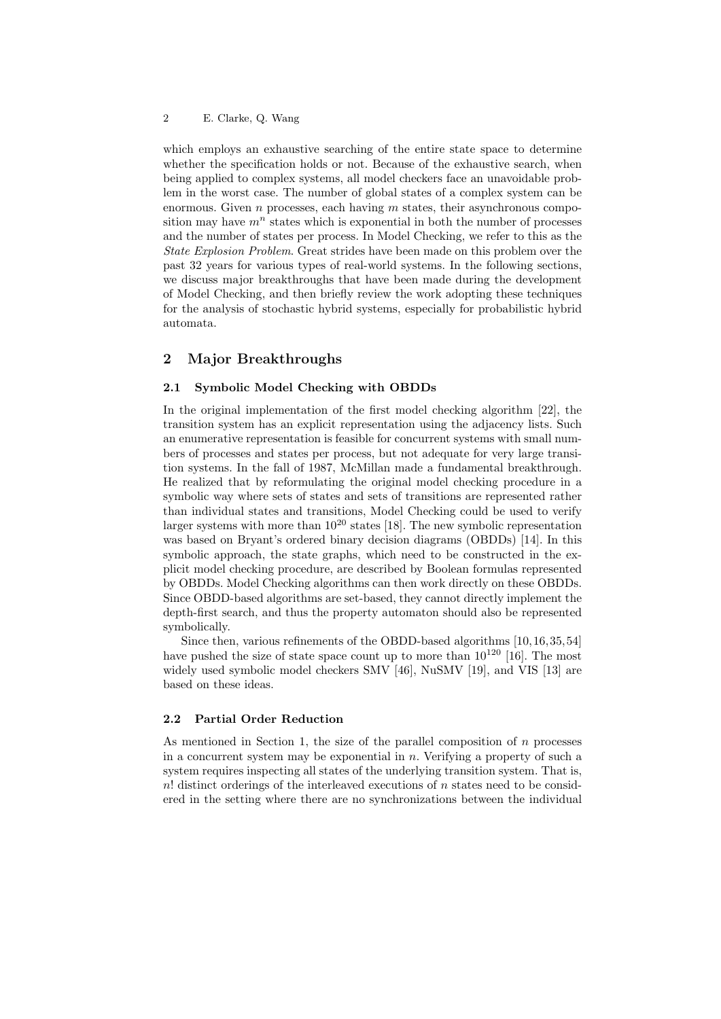which employs an exhaustive searching of the entire state space to determine whether the specification holds or not. Because of the exhaustive search, when being applied to complex systems, all model checkers face an unavoidable problem in the worst case. The number of global states of a complex system can be enormous. Given  $n$  processes, each having  $m$  states, their asynchronous composition may have  $m<sup>n</sup>$  states which is exponential in both the number of processes and the number of states per process. In Model Checking, we refer to this as the State Explosion Problem. Great strides have been made on this problem over the past 32 years for various types of real-world systems. In the following sections, we discuss major breakthroughs that have been made during the development of Model Checking, and then briefly review the work adopting these techniques for the analysis of stochastic hybrid systems, especially for probabilistic hybrid automata.

### 2 Major Breakthroughs

### 2.1 Symbolic Model Checking with OBDDs

In the original implementation of the first model checking algorithm [22], the transition system has an explicit representation using the adjacency lists. Such an enumerative representation is feasible for concurrent systems with small numbers of processes and states per process, but not adequate for very large transition systems. In the fall of 1987, McMillan made a fundamental breakthrough. He realized that by reformulating the original model checking procedure in a symbolic way where sets of states and sets of transitions are represented rather than individual states and transitions, Model Checking could be used to verify larger systems with more than  $10^{20}$  states [18]. The new symbolic representation was based on Bryant's ordered binary decision diagrams (OBDDs) [14]. In this symbolic approach, the state graphs, which need to be constructed in the explicit model checking procedure, are described by Boolean formulas represented by OBDDs. Model Checking algorithms can then work directly on these OBDDs. Since OBDD-based algorithms are set-based, they cannot directly implement the depth-first search, and thus the property automaton should also be represented symbolically.

Since then, various refinements of the OBDD-based algorithms [10,16,35,54] have pushed the size of state space count up to more than  $10^{120}$  [16]. The most widely used symbolic model checkers SMV [46], NuSMV [19], and VIS [13] are based on these ideas.

### 2.2 Partial Order Reduction

As mentioned in Section 1, the size of the parallel composition of  $n$  processes in a concurrent system may be exponential in  $n$ . Verifying a property of such a system requires inspecting all states of the underlying transition system. That is,  $n!$  distinct orderings of the interleaved executions of  $n$  states need to be considered in the setting where there are no synchronizations between the individual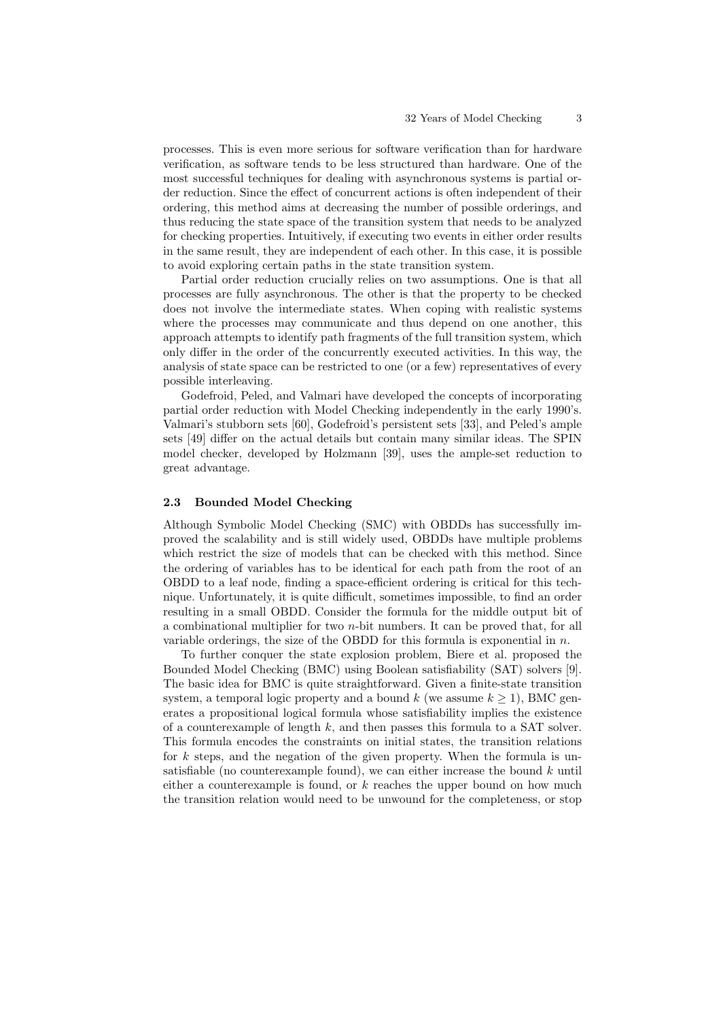processes. This is even more serious for software verification than for hardware verification, as software tends to be less structured than hardware. One of the most successful techniques for dealing with asynchronous systems is partial order reduction. Since the effect of concurrent actions is often independent of their ordering, this method aims at decreasing the number of possible orderings, and thus reducing the state space of the transition system that needs to be analyzed for checking properties. Intuitively, if executing two events in either order results in the same result, they are independent of each other. In this case, it is possible to avoid exploring certain paths in the state transition system.

Partial order reduction crucially relies on two assumptions. One is that all processes are fully asynchronous. The other is that the property to be checked does not involve the intermediate states. When coping with realistic systems where the processes may communicate and thus depend on one another, this approach attempts to identify path fragments of the full transition system, which only differ in the order of the concurrently executed activities. In this way, the analysis of state space can be restricted to one (or a few) representatives of every possible interleaving.

Godefroid, Peled, and Valmari have developed the concepts of incorporating partial order reduction with Model Checking independently in the early 1990's. Valmari's stubborn sets [60], Godefroid's persistent sets [33], and Peled's ample sets [49] differ on the actual details but contain many similar ideas. The SPIN model checker, developed by Holzmann [39], uses the ample-set reduction to great advantage.

### 2.3 Bounded Model Checking

Although Symbolic Model Checking (SMC) with OBDDs has successfully improved the scalability and is still widely used, OBDDs have multiple problems which restrict the size of models that can be checked with this method. Since the ordering of variables has to be identical for each path from the root of an OBDD to a leaf node, finding a space-efficient ordering is critical for this technique. Unfortunately, it is quite difficult, sometimes impossible, to find an order resulting in a small OBDD. Consider the formula for the middle output bit of a combinational multiplier for two n-bit numbers. It can be proved that, for all variable orderings, the size of the OBDD for this formula is exponential in  $n$ .

To further conquer the state explosion problem, Biere et al. proposed the Bounded Model Checking (BMC) using Boolean satisfiability (SAT) solvers [9]. The basic idea for BMC is quite straightforward. Given a finite-state transition system, a temporal logic property and a bound k (we assume  $k \geq 1$ ), BMC generates a propositional logical formula whose satisfiability implies the existence of a counterexample of length  $k$ , and then passes this formula to a SAT solver. This formula encodes the constraints on initial states, the transition relations for k steps, and the negation of the given property. When the formula is unsatisfiable (no counterexample found), we can either increase the bound  $k$  until either a counterexample is found, or  $k$  reaches the upper bound on how much the transition relation would need to be unwound for the completeness, or stop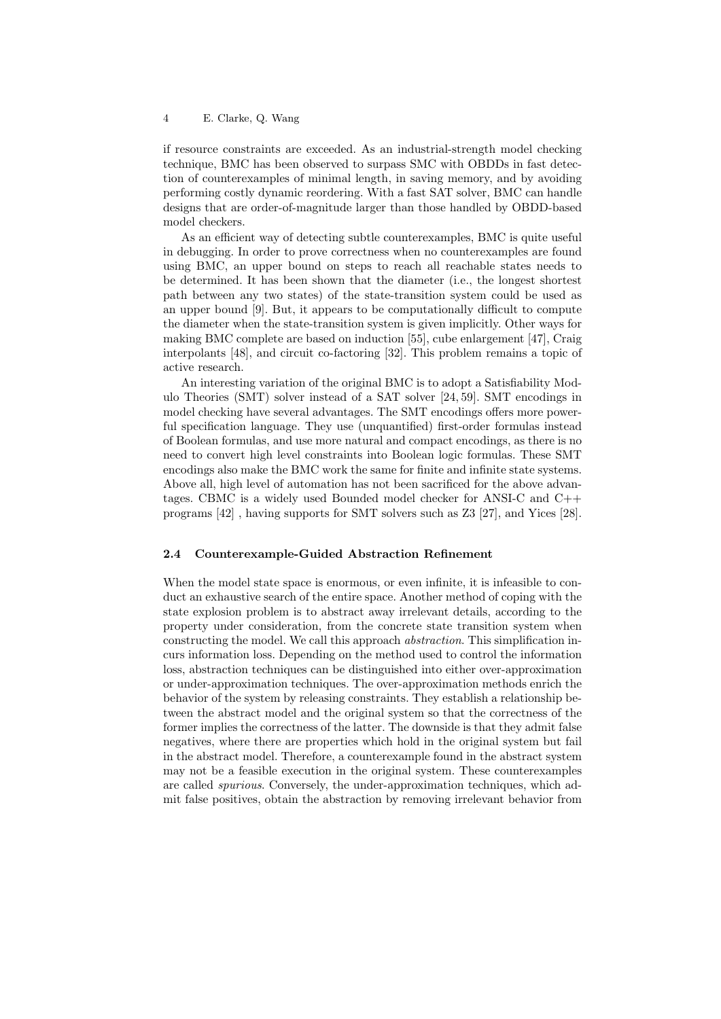if resource constraints are exceeded. As an industrial-strength model checking technique, BMC has been observed to surpass SMC with OBDDs in fast detection of counterexamples of minimal length, in saving memory, and by avoiding performing costly dynamic reordering. With a fast SAT solver, BMC can handle designs that are order-of-magnitude larger than those handled by OBDD-based model checkers.

As an efficient way of detecting subtle counterexamples, BMC is quite useful in debugging. In order to prove correctness when no counterexamples are found using BMC, an upper bound on steps to reach all reachable states needs to be determined. It has been shown that the diameter (i.e., the longest shortest path between any two states) of the state-transition system could be used as an upper bound [9]. But, it appears to be computationally difficult to compute the diameter when the state-transition system is given implicitly. Other ways for making BMC complete are based on induction [55], cube enlargement [47], Craig interpolants [48], and circuit co-factoring [32]. This problem remains a topic of active research.

An interesting variation of the original BMC is to adopt a Satisfiability Modulo Theories (SMT) solver instead of a SAT solver [24, 59]. SMT encodings in model checking have several advantages. The SMT encodings offers more powerful specification language. They use (unquantified) first-order formulas instead of Boolean formulas, and use more natural and compact encodings, as there is no need to convert high level constraints into Boolean logic formulas. These SMT encodings also make the BMC work the same for finite and infinite state systems. Above all, high level of automation has not been sacrificed for the above advantages. CBMC is a widely used Bounded model checker for ANSI-C and C++ programs [42] , having supports for SMT solvers such as Z3 [27], and Yices [28].

### 2.4 Counterexample-Guided Abstraction Refinement

When the model state space is enormous, or even infinite, it is infeasible to conduct an exhaustive search of the entire space. Another method of coping with the state explosion problem is to abstract away irrelevant details, according to the property under consideration, from the concrete state transition system when constructing the model. We call this approach abstraction. This simplification incurs information loss. Depending on the method used to control the information loss, abstraction techniques can be distinguished into either over-approximation or under-approximation techniques. The over-approximation methods enrich the behavior of the system by releasing constraints. They establish a relationship between the abstract model and the original system so that the correctness of the former implies the correctness of the latter. The downside is that they admit false negatives, where there are properties which hold in the original system but fail in the abstract model. Therefore, a counterexample found in the abstract system may not be a feasible execution in the original system. These counterexamples are called spurious. Conversely, the under-approximation techniques, which admit false positives, obtain the abstraction by removing irrelevant behavior from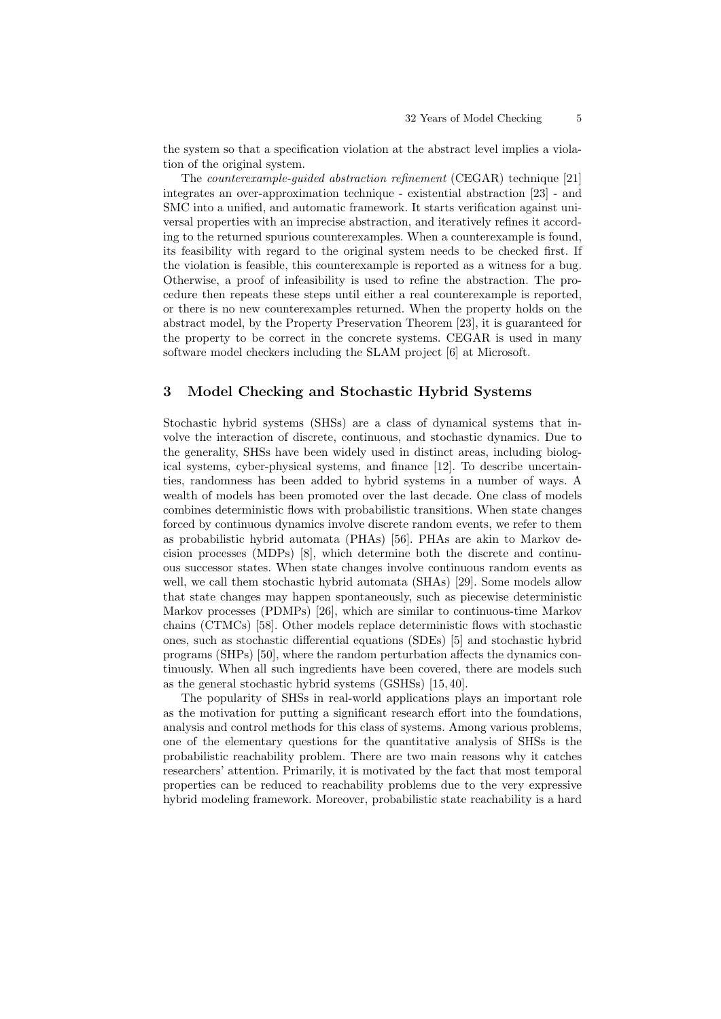the system so that a specification violation at the abstract level implies a violation of the original system.

The counterexample-guided abstraction refinement (CEGAR) technique [21] integrates an over-approximation technique - existential abstraction [23] - and SMC into a unified, and automatic framework. It starts verification against universal properties with an imprecise abstraction, and iteratively refines it according to the returned spurious counterexamples. When a counterexample is found, its feasibility with regard to the original system needs to be checked first. If the violation is feasible, this counterexample is reported as a witness for a bug. Otherwise, a proof of infeasibility is used to refine the abstraction. The procedure then repeats these steps until either a real counterexample is reported, or there is no new counterexamples returned. When the property holds on the abstract model, by the Property Preservation Theorem [23], it is guaranteed for the property to be correct in the concrete systems. CEGAR is used in many software model checkers including the SLAM project [6] at Microsoft.

# 3 Model Checking and Stochastic Hybrid Systems

Stochastic hybrid systems (SHSs) are a class of dynamical systems that involve the interaction of discrete, continuous, and stochastic dynamics. Due to the generality, SHSs have been widely used in distinct areas, including biological systems, cyber-physical systems, and finance [12]. To describe uncertainties, randomness has been added to hybrid systems in a number of ways. A wealth of models has been promoted over the last decade. One class of models combines deterministic flows with probabilistic transitions. When state changes forced by continuous dynamics involve discrete random events, we refer to them as probabilistic hybrid automata (PHAs) [56]. PHAs are akin to Markov decision processes (MDPs) [8], which determine both the discrete and continuous successor states. When state changes involve continuous random events as well, we call them stochastic hybrid automata (SHAs) [29]. Some models allow that state changes may happen spontaneously, such as piecewise deterministic Markov processes (PDMPs) [26], which are similar to continuous-time Markov chains (CTMCs) [58]. Other models replace deterministic flows with stochastic ones, such as stochastic differential equations (SDEs) [5] and stochastic hybrid programs (SHPs) [50], where the random perturbation affects the dynamics continuously. When all such ingredients have been covered, there are models such as the general stochastic hybrid systems (GSHSs) [15, 40].

The popularity of SHSs in real-world applications plays an important role as the motivation for putting a significant research effort into the foundations, analysis and control methods for this class of systems. Among various problems, one of the elementary questions for the quantitative analysis of SHSs is the probabilistic reachability problem. There are two main reasons why it catches researchers' attention. Primarily, it is motivated by the fact that most temporal properties can be reduced to reachability problems due to the very expressive hybrid modeling framework. Moreover, probabilistic state reachability is a hard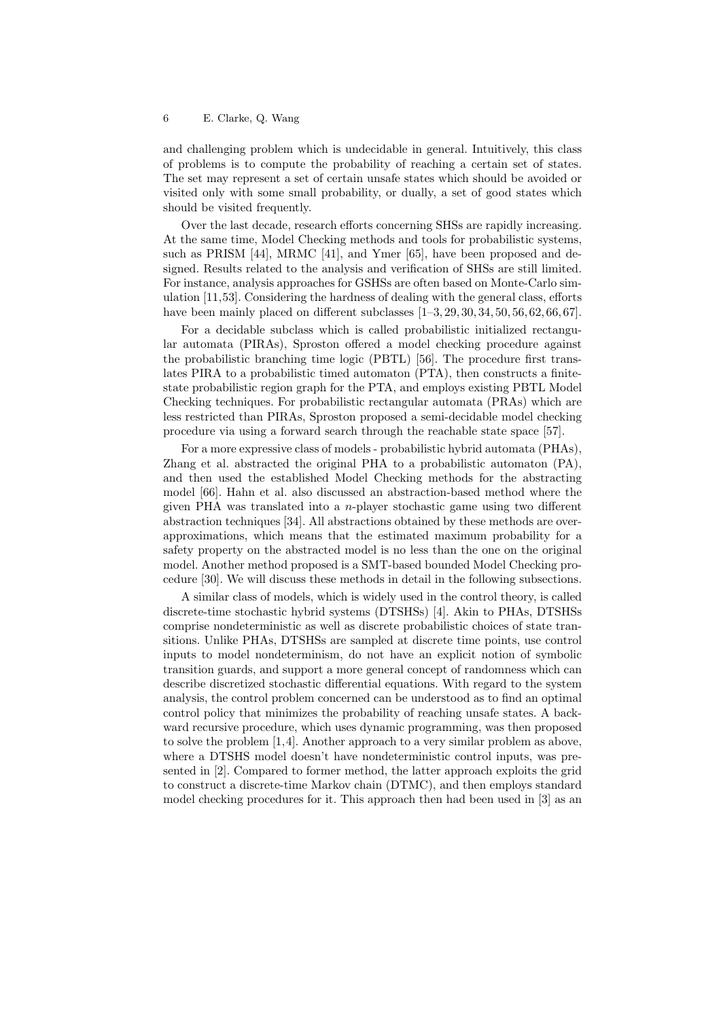and challenging problem which is undecidable in general. Intuitively, this class of problems is to compute the probability of reaching a certain set of states. The set may represent a set of certain unsafe states which should be avoided or visited only with some small probability, or dually, a set of good states which should be visited frequently.

Over the last decade, research efforts concerning SHSs are rapidly increasing. At the same time, Model Checking methods and tools for probabilistic systems, such as PRISM [44], MRMC [41], and Ymer [65], have been proposed and designed. Results related to the analysis and verification of SHSs are still limited. For instance, analysis approaches for GSHSs are often based on Monte-Carlo simulation [11,53]. Considering the hardness of dealing with the general class, efforts have been mainly placed on different subclasses  $[1–3, 29, 30, 34, 50, 56, 62, 66, 67]$ .

For a decidable subclass which is called probabilistic initialized rectangular automata (PIRAs), Sproston offered a model checking procedure against the probabilistic branching time logic (PBTL) [56]. The procedure first translates PIRA to a probabilistic timed automaton (PTA), then constructs a finitestate probabilistic region graph for the PTA, and employs existing PBTL Model Checking techniques. For probabilistic rectangular automata (PRAs) which are less restricted than PIRAs, Sproston proposed a semi-decidable model checking procedure via using a forward search through the reachable state space [57].

For a more expressive class of models - probabilistic hybrid automata (PHAs), Zhang et al. abstracted the original PHA to a probabilistic automaton (PA), and then used the established Model Checking methods for the abstracting model [66]. Hahn et al. also discussed an abstraction-based method where the given PHA was translated into a  $n$ -player stochastic game using two different abstraction techniques [34]. All abstractions obtained by these methods are overapproximations, which means that the estimated maximum probability for a safety property on the abstracted model is no less than the one on the original model. Another method proposed is a SMT-based bounded Model Checking procedure [30]. We will discuss these methods in detail in the following subsections.

A similar class of models, which is widely used in the control theory, is called discrete-time stochastic hybrid systems (DTSHSs) [4]. Akin to PHAs, DTSHSs comprise nondeterministic as well as discrete probabilistic choices of state transitions. Unlike PHAs, DTSHSs are sampled at discrete time points, use control inputs to model nondeterminism, do not have an explicit notion of symbolic transition guards, and support a more general concept of randomness which can describe discretized stochastic differential equations. With regard to the system analysis, the control problem concerned can be understood as to find an optimal control policy that minimizes the probability of reaching unsafe states. A backward recursive procedure, which uses dynamic programming, was then proposed to solve the problem [1,4]. Another approach to a very similar problem as above, where a DTSHS model doesn't have nondeterministic control inputs, was presented in [2]. Compared to former method, the latter approach exploits the grid to construct a discrete-time Markov chain (DTMC), and then employs standard model checking procedures for it. This approach then had been used in [3] as an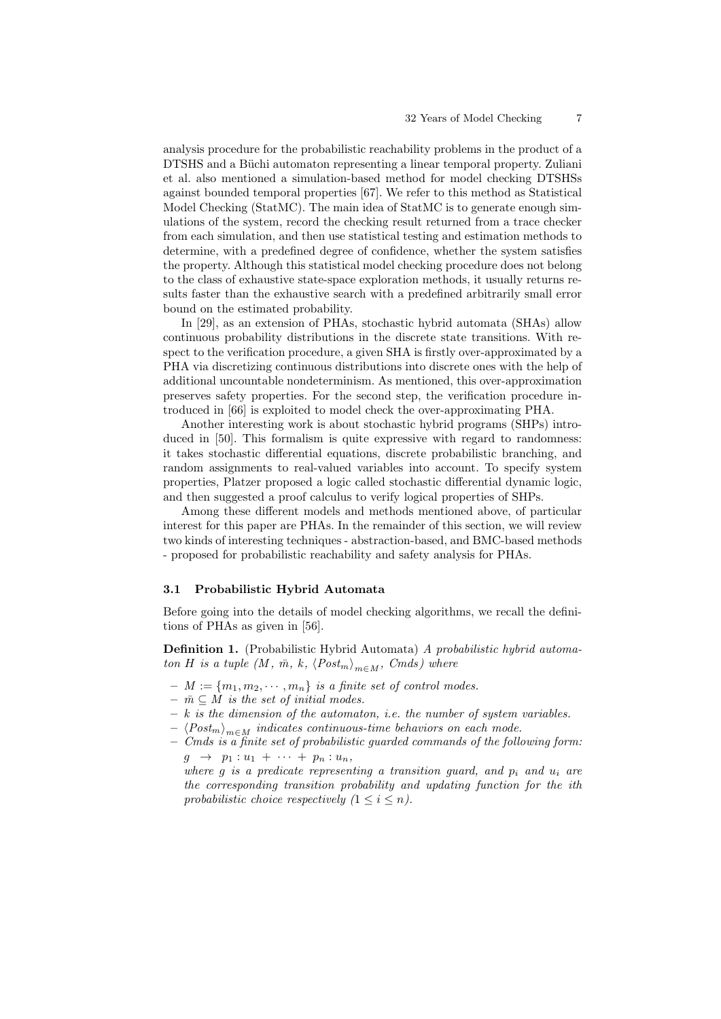analysis procedure for the probabilistic reachability problems in the product of a DTSHS and a Büchi automaton representing a linear temporal property. Zuliani et al. also mentioned a simulation-based method for model checking DTSHSs against bounded temporal properties [67]. We refer to this method as Statistical Model Checking (StatMC). The main idea of StatMC is to generate enough simulations of the system, record the checking result returned from a trace checker from each simulation, and then use statistical testing and estimation methods to determine, with a predefined degree of confidence, whether the system satisfies the property. Although this statistical model checking procedure does not belong to the class of exhaustive state-space exploration methods, it usually returns results faster than the exhaustive search with a predefined arbitrarily small error bound on the estimated probability.

In [29], as an extension of PHAs, stochastic hybrid automata (SHAs) allow continuous probability distributions in the discrete state transitions. With respect to the verification procedure, a given SHA is firstly over-approximated by a PHA via discretizing continuous distributions into discrete ones with the help of additional uncountable nondeterminism. As mentioned, this over-approximation preserves safety properties. For the second step, the verification procedure introduced in [66] is exploited to model check the over-approximating PHA.

Another interesting work is about stochastic hybrid programs (SHPs) introduced in [50]. This formalism is quite expressive with regard to randomness: it takes stochastic differential equations, discrete probabilistic branching, and random assignments to real-valued variables into account. To specify system properties, Platzer proposed a logic called stochastic differential dynamic logic, and then suggested a proof calculus to verify logical properties of SHPs.

Among these different models and methods mentioned above, of particular interest for this paper are PHAs. In the remainder of this section, we will review two kinds of interesting techniques - abstraction-based, and BMC-based methods - proposed for probabilistic reachability and safety analysis for PHAs.

#### 3.1 Probabilistic Hybrid Automata

Before going into the details of model checking algorithms, we recall the definitions of PHAs as given in [56].

Definition 1. (Probabilistic Hybrid Automata) A probabilistic hybrid automaton H is a tuple  $(M, \bar{m}, k, \langle Post_m \rangle_{m \in M}, Cmds)$  where

- $-M := \{m_1, m_2, \cdots, m_n\}$  is a finite set of control modes.
- $\bar{m} \subseteq M$  is the set of initial modes.
- $k$  is the dimension of the automaton, i.e. the number of system variables.
- $\langle Post_m \rangle_{m \in M}$  indicates continuous-time behaviors on each mode.
- Cmds is a finite set of probabilistic guarded commands of the following form:  $g \rightarrow p_1 : u_1 + \cdots + p_n : u_n$

where g is a predicate representing a transition guard, and  $p_i$  and  $u_i$  are the corresponding transition probability and updating function for the ith probabilistic choice respectively  $(1 \leq i \leq n)$ .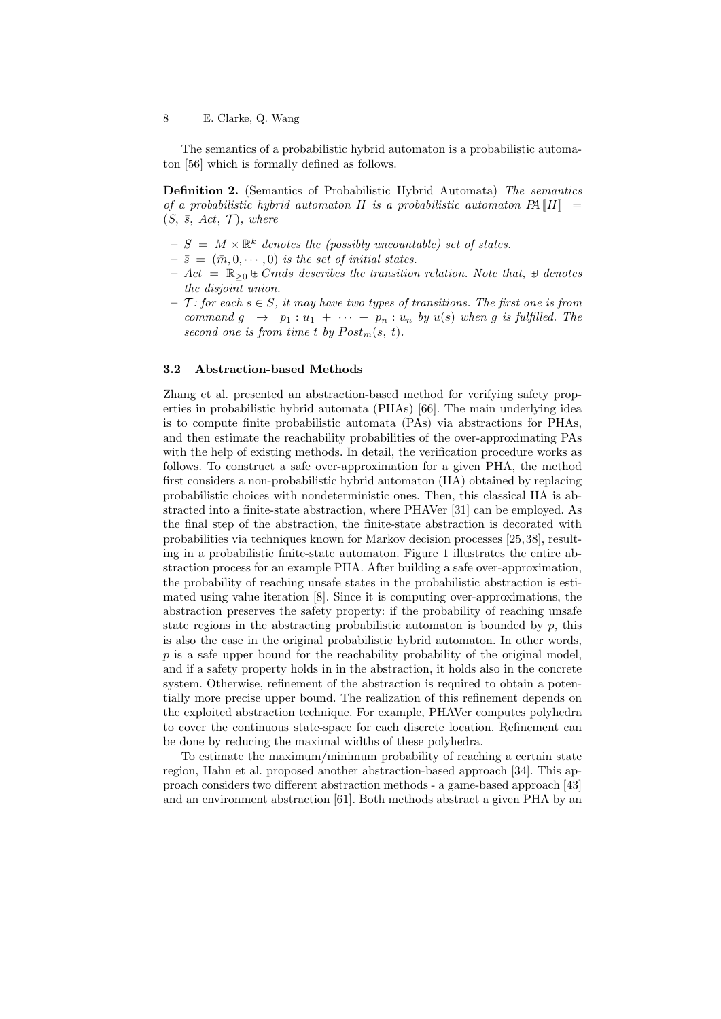The semantics of a probabilistic hybrid automaton is a probabilistic automaton [56] which is formally defined as follows.

Definition 2. (Semantics of Probabilistic Hybrid Automata) The semantics of a probabilistic hybrid automaton H is a probabilistic automaton  $PA \llbracket H \rrbracket =$  $(S, \bar{s}, Act, \mathcal{T})$ , where

- $S = M \times \mathbb{R}^k$  denotes the (possibly uncountable) set of states.
- $-\bar{s} = (\bar{m}, 0, \dots, 0)$  is the set of initial states.
- $Act = \mathbb{R}_{\geq 0} \oplus Cmds$  describes the transition relation. Note that,  $\oplus$  denotes the disjoint union.
- $-$  T: for each  $s \in S$ , it may have two types of transitions. The first one is from command  $g \rightarrow p_1 : u_1 + \cdots + p_n : u_n$  by  $u(s)$  when g is fulfilled. The second one is from time t by  $Post_m(s, t)$ .

#### 3.2 Abstraction-based Methods

Zhang et al. presented an abstraction-based method for verifying safety properties in probabilistic hybrid automata (PHAs) [66]. The main underlying idea is to compute finite probabilistic automata (PAs) via abstractions for PHAs, and then estimate the reachability probabilities of the over-approximating PAs with the help of existing methods. In detail, the verification procedure works as follows. To construct a safe over-approximation for a given PHA, the method first considers a non-probabilistic hybrid automaton (HA) obtained by replacing probabilistic choices with nondeterministic ones. Then, this classical HA is abstracted into a finite-state abstraction, where PHAVer [31] can be employed. As the final step of the abstraction, the finite-state abstraction is decorated with probabilities via techniques known for Markov decision processes [25,38], resulting in a probabilistic finite-state automaton. Figure 1 illustrates the entire abstraction process for an example PHA. After building a safe over-approximation, the probability of reaching unsafe states in the probabilistic abstraction is estimated using value iteration [8]. Since it is computing over-approximations, the abstraction preserves the safety property: if the probability of reaching unsafe state regions in the abstracting probabilistic automaton is bounded by  $p$ , this is also the case in the original probabilistic hybrid automaton. In other words,  $p$  is a safe upper bound for the reachability probability of the original model, and if a safety property holds in in the abstraction, it holds also in the concrete system. Otherwise, refinement of the abstraction is required to obtain a potentially more precise upper bound. The realization of this refinement depends on the exploited abstraction technique. For example, PHAVer computes polyhedra to cover the continuous state-space for each discrete location. Refinement can be done by reducing the maximal widths of these polyhedra.

To estimate the maximum/minimum probability of reaching a certain state region, Hahn et al. proposed another abstraction-based approach [34]. This approach considers two different abstraction methods - a game-based approach [43] and an environment abstraction [61]. Both methods abstract a given PHA by an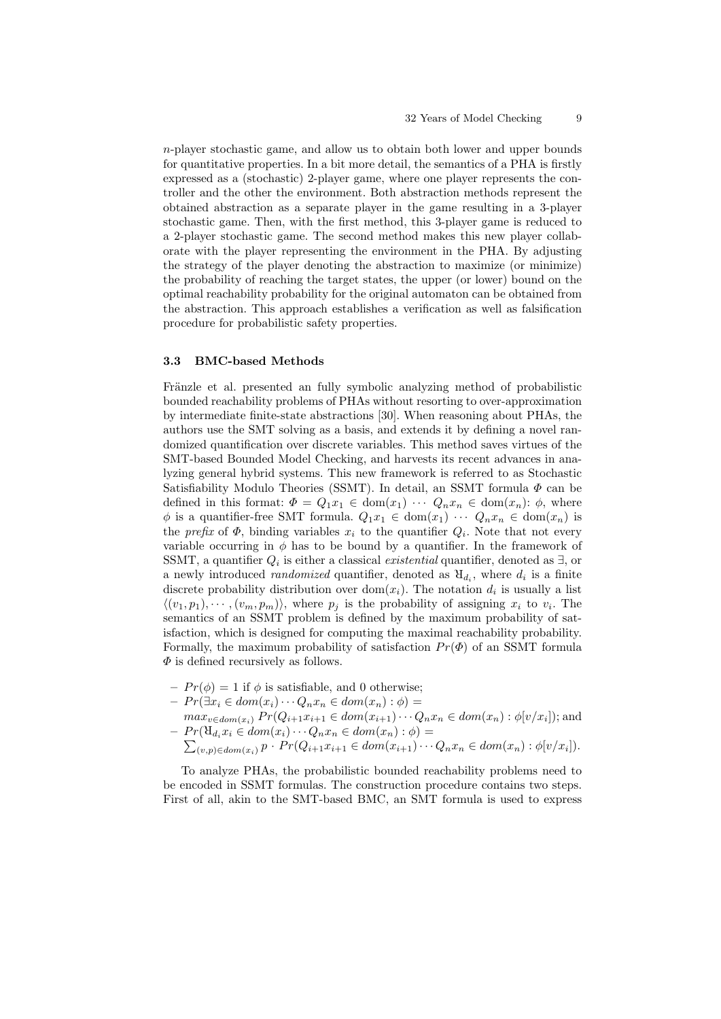$n$ -player stochastic game, and allow us to obtain both lower and upper bounds for quantitative properties. In a bit more detail, the semantics of a PHA is firstly expressed as a (stochastic) 2-player game, where one player represents the controller and the other the environment. Both abstraction methods represent the obtained abstraction as a separate player in the game resulting in a 3-player stochastic game. Then, with the first method, this 3-player game is reduced to a 2-player stochastic game. The second method makes this new player collaborate with the player representing the environment in the PHA. By adjusting the strategy of the player denoting the abstraction to maximize (or minimize) the probability of reaching the target states, the upper (or lower) bound on the optimal reachability probability for the original automaton can be obtained from the abstraction. This approach establishes a verification as well as falsification procedure for probabilistic safety properties.

### 3.3 BMC-based Methods

Fränzle et al. presented an fully symbolic analyzing method of probabilistic bounded reachability problems of PHAs without resorting to over-approximation by intermediate finite-state abstractions [30]. When reasoning about PHAs, the authors use the SMT solving as a basis, and extends it by defining a novel randomized quantification over discrete variables. This method saves virtues of the SMT-based Bounded Model Checking, and harvests its recent advances in analyzing general hybrid systems. This new framework is referred to as Stochastic Satisfiability Modulo Theories (SSMT). In detail, an SSMT formula  $\Phi$  can be defined in this format:  $\Phi = Q_1 x_1 \in \text{dom}(x_1) \cdots Q_n x_n \in \text{dom}(x_n)$ :  $\phi$ , where  $\phi$  is a quantifier-free SMT formula.  $Q_1x_1 \in \text{dom}(x_1) \cdots Q_nx_n \in \text{dom}(x_n)$  is the *prefix* of  $\Phi$ , binding variables  $x_i$  to the quantifier  $Q_i$ . Note that not every variable occurring in  $\phi$  has to be bound by a quantifier. In the framework of SSMT, a quantifier  $Q_i$  is either a classical *existential* quantifier, denoted as  $\exists$ , or a newly introduced *randomized* quantifier, denoted as  $\mathbf{H}_{d_i}$ , where  $d_i$  is a finite discrete probability distribution over dom $(x_i)$ . The notation  $d_i$  is usually a list  $\langle (v_1, p_1), \cdots, (v_m, p_m) \rangle$ , where  $p_j$  is the probability of assigning  $x_i$  to  $v_i$ . The semantics of an SSMT problem is defined by the maximum probability of satisfaction, which is designed for computing the maximal reachability probability. Formally, the maximum probability of satisfaction  $Pr(\Phi)$  of an SSMT formula  $\Phi$  is defined recursively as follows.

- $Pr(\phi) = 1$  if  $\phi$  is satisfiable, and 0 otherwise;
- $Pr(\exists x_i \in dom(x_i) \cdots Q_n x_n \in dom(x_n) : \phi) =$  $max_{v \in dom(x_i)} Pr(Q_{i+1}x_{i+1} \in dom(x_{i+1}) \cdots Q_n x_n \in dom(x_n) : \phi[v/x_i])$ ; and  $- Pr(\mathfrak{A}_{d_i})$  $\sum$  $d_i x_i \in dom(x_i) \cdots Q_n x_n \in dom(x_n) : \phi) =$  $(v, p) \in dom(x_i) \cdot Pr(Q_{i+1}x_{i+1} \in dom(x_{i+1}) \cdots Q_n x_n \in dom(x_n) : \phi[v/x_i]).$

To analyze PHAs, the probabilistic bounded reachability problems need to be encoded in SSMT formulas. The construction procedure contains two steps. First of all, akin to the SMT-based BMC, an SMT formula is used to express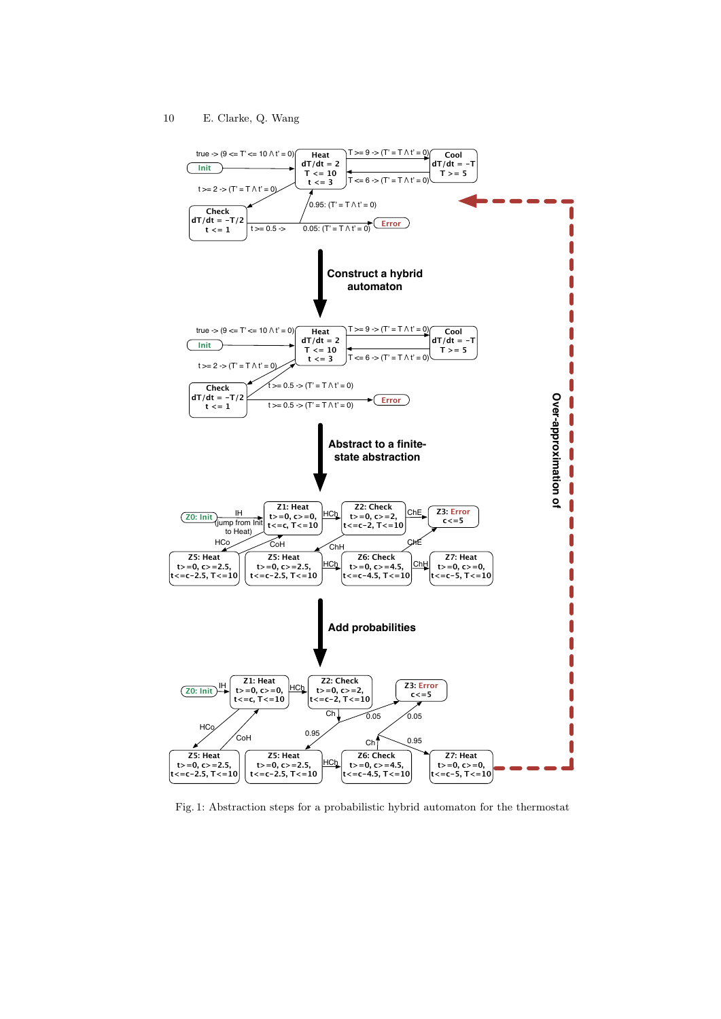

Fig. 1: Abstraction steps for a probabilistic hybrid automaton for the thermostat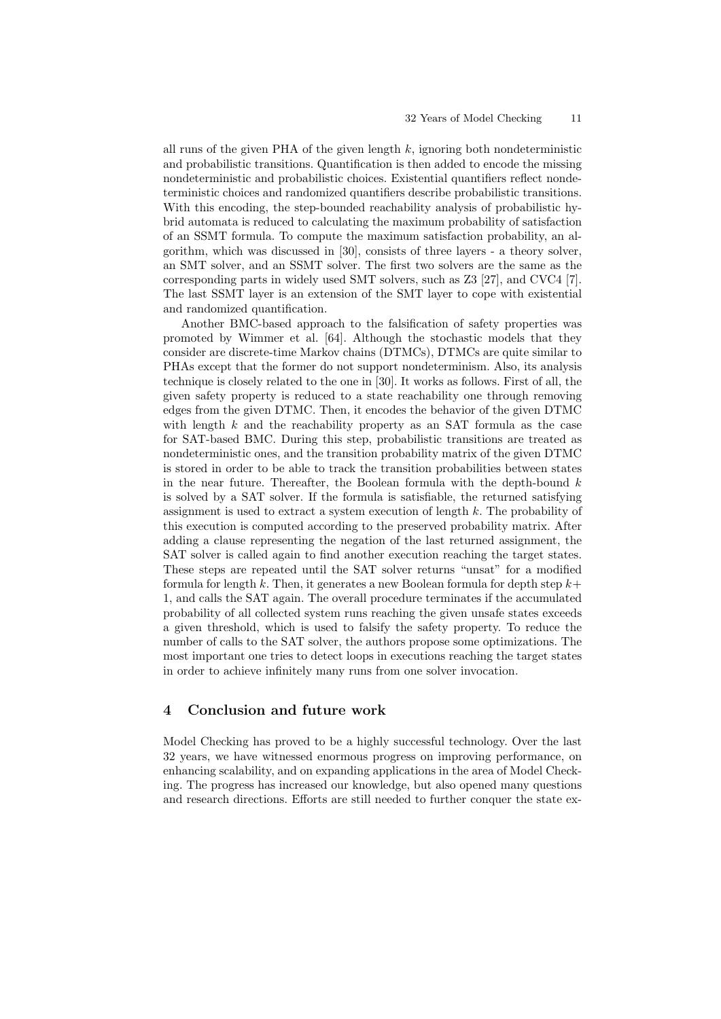all runs of the given PHA of the given length  $k$ , ignoring both nondeterministic and probabilistic transitions. Quantification is then added to encode the missing nondeterministic and probabilistic choices. Existential quantifiers reflect nondeterministic choices and randomized quantifiers describe probabilistic transitions. With this encoding, the step-bounded reachability analysis of probabilistic hybrid automata is reduced to calculating the maximum probability of satisfaction of an SSMT formula. To compute the maximum satisfaction probability, an algorithm, which was discussed in [30], consists of three layers - a theory solver, an SMT solver, and an SSMT solver. The first two solvers are the same as the corresponding parts in widely used SMT solvers, such as Z3 [27], and CVC4 [7]. The last SSMT layer is an extension of the SMT layer to cope with existential and randomized quantification.

Another BMC-based approach to the falsification of safety properties was promoted by Wimmer et al. [64]. Although the stochastic models that they consider are discrete-time Markov chains (DTMCs), DTMCs are quite similar to PHAs except that the former do not support nondeterminism. Also, its analysis technique is closely related to the one in [30]. It works as follows. First of all, the given safety property is reduced to a state reachability one through removing edges from the given DTMC. Then, it encodes the behavior of the given DTMC with length  $k$  and the reachability property as an SAT formula as the case for SAT-based BMC. During this step, probabilistic transitions are treated as nondeterministic ones, and the transition probability matrix of the given DTMC is stored in order to be able to track the transition probabilities between states in the near future. Thereafter, the Boolean formula with the depth-bound  $k$ is solved by a SAT solver. If the formula is satisfiable, the returned satisfying assignment is used to extract a system execution of length k. The probability of this execution is computed according to the preserved probability matrix. After adding a clause representing the negation of the last returned assignment, the SAT solver is called again to find another execution reaching the target states. These steps are repeated until the SAT solver returns "unsat" for a modified formula for length k. Then, it generates a new Boolean formula for depth step  $k+$ 1, and calls the SAT again. The overall procedure terminates if the accumulated probability of all collected system runs reaching the given unsafe states exceeds a given threshold, which is used to falsify the safety property. To reduce the number of calls to the SAT solver, the authors propose some optimizations. The most important one tries to detect loops in executions reaching the target states in order to achieve infinitely many runs from one solver invocation.

## 4 Conclusion and future work

Model Checking has proved to be a highly successful technology. Over the last 32 years, we have witnessed enormous progress on improving performance, on enhancing scalability, and on expanding applications in the area of Model Checking. The progress has increased our knowledge, but also opened many questions and research directions. Efforts are still needed to further conquer the state ex-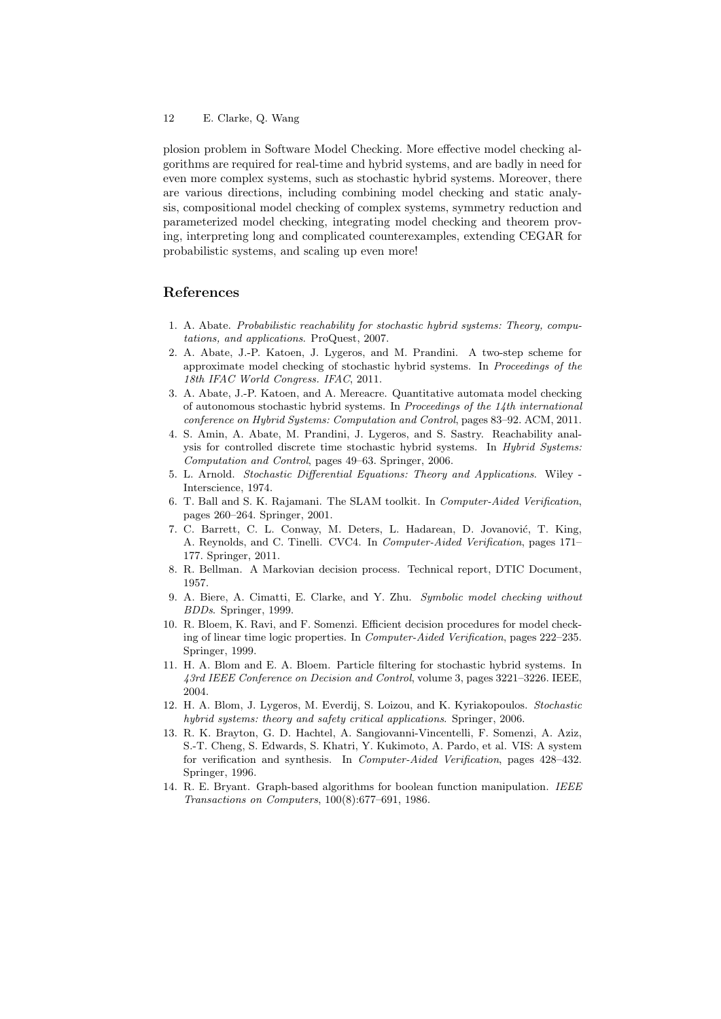plosion problem in Software Model Checking. More effective model checking algorithms are required for real-time and hybrid systems, and are badly in need for even more complex systems, such as stochastic hybrid systems. Moreover, there are various directions, including combining model checking and static analysis, compositional model checking of complex systems, symmetry reduction and parameterized model checking, integrating model checking and theorem proving, interpreting long and complicated counterexamples, extending CEGAR for probabilistic systems, and scaling up even more!

### References

- 1. A. Abate. Probabilistic reachability for stochastic hybrid systems: Theory, computations, and applications. ProQuest, 2007.
- 2. A. Abate, J.-P. Katoen, J. Lygeros, and M. Prandini. A two-step scheme for approximate model checking of stochastic hybrid systems. In Proceedings of the 18th IFAC World Congress. IFAC, 2011.
- 3. A. Abate, J.-P. Katoen, and A. Mereacre. Quantitative automata model checking of autonomous stochastic hybrid systems. In Proceedings of the  $14$ th international conference on Hybrid Systems: Computation and Control, pages 83–92. ACM, 2011.
- 4. S. Amin, A. Abate, M. Prandini, J. Lygeros, and S. Sastry. Reachability analysis for controlled discrete time stochastic hybrid systems. In Hybrid Systems: Computation and Control, pages 49–63. Springer, 2006.
- 5. L. Arnold. Stochastic Differential Equations: Theory and Applications. Wiley Interscience, 1974.
- 6. T. Ball and S. K. Rajamani. The SLAM toolkit. In Computer-Aided Verification, pages 260–264. Springer, 2001.
- 7. C. Barrett, C. L. Conway, M. Deters, L. Hadarean, D. Jovanović, T. King, A. Reynolds, and C. Tinelli. CVC4. In Computer-Aided Verification, pages 171– 177. Springer, 2011.
- 8. R. Bellman. A Markovian decision process. Technical report, DTIC Document, 1957.
- 9. A. Biere, A. Cimatti, E. Clarke, and Y. Zhu. Symbolic model checking without BDDs. Springer, 1999.
- 10. R. Bloem, K. Ravi, and F. Somenzi. Efficient decision procedures for model checking of linear time logic properties. In Computer-Aided Verification, pages 222–235. Springer, 1999.
- 11. H. A. Blom and E. A. Bloem. Particle filtering for stochastic hybrid systems. In 43rd IEEE Conference on Decision and Control, volume 3, pages 3221–3226. IEEE, 2004.
- 12. H. A. Blom, J. Lygeros, M. Everdij, S. Loizou, and K. Kyriakopoulos. Stochastic hybrid systems: theory and safety critical applications. Springer, 2006.
- 13. R. K. Brayton, G. D. Hachtel, A. Sangiovanni-Vincentelli, F. Somenzi, A. Aziz, S.-T. Cheng, S. Edwards, S. Khatri, Y. Kukimoto, A. Pardo, et al. VIS: A system for verification and synthesis. In Computer-Aided Verification, pages 428–432. Springer, 1996.
- 14. R. E. Bryant. Graph-based algorithms for boolean function manipulation. IEEE Transactions on Computers, 100(8):677–691, 1986.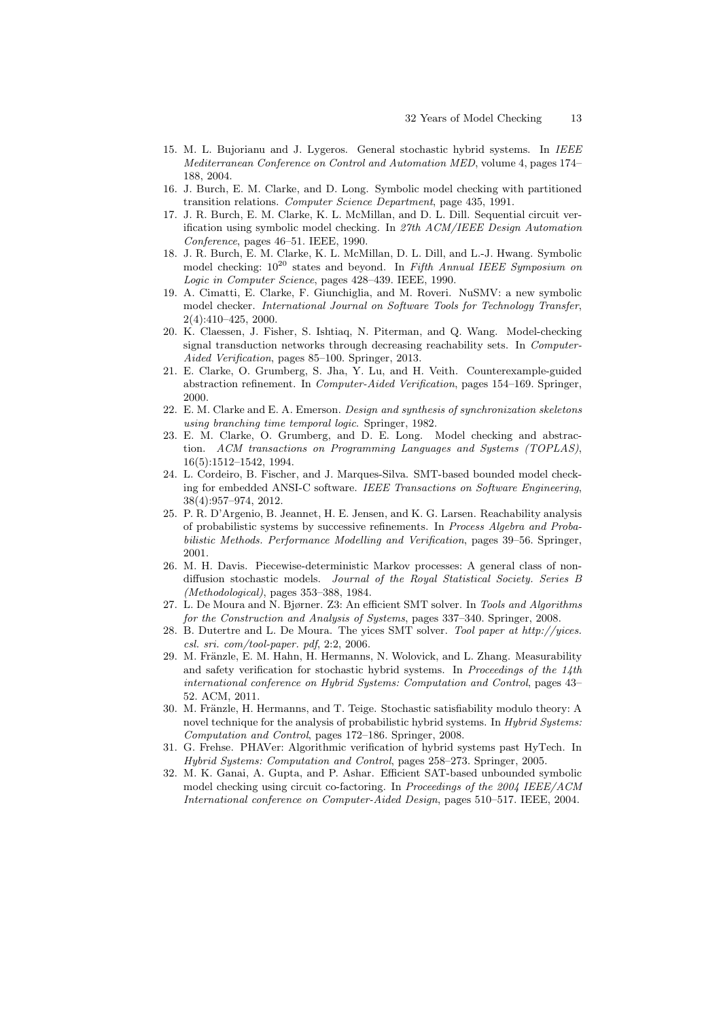- 15. M. L. Bujorianu and J. Lygeros. General stochastic hybrid systems. In IEEE Mediterranean Conference on Control and Automation MED, volume 4, pages 174– 188, 2004.
- 16. J. Burch, E. M. Clarke, and D. Long. Symbolic model checking with partitioned transition relations. Computer Science Department, page 435, 1991.
- 17. J. R. Burch, E. M. Clarke, K. L. McMillan, and D. L. Dill. Sequential circuit verification using symbolic model checking. In 27th ACM/IEEE Design Automation Conference, pages 46–51. IEEE, 1990.
- 18. J. R. Burch, E. M. Clarke, K. L. McMillan, D. L. Dill, and L.-J. Hwang. Symbolic model checking:  $10^{20}$  states and beyond. In Fifth Annual IEEE Symposium on Logic in Computer Science, pages 428–439. IEEE, 1990.
- 19. A. Cimatti, E. Clarke, F. Giunchiglia, and M. Roveri. NuSMV: a new symbolic model checker. International Journal on Software Tools for Technology Transfer, 2(4):410–425, 2000.
- 20. K. Claessen, J. Fisher, S. Ishtiaq, N. Piterman, and Q. Wang. Model-checking signal transduction networks through decreasing reachability sets. In Computer-Aided Verification, pages 85–100. Springer, 2013.
- 21. E. Clarke, O. Grumberg, S. Jha, Y. Lu, and H. Veith. Counterexample-guided abstraction refinement. In Computer-Aided Verification, pages 154–169. Springer, 2000.
- 22. E. M. Clarke and E. A. Emerson. Design and synthesis of synchronization skeletons using branching time temporal logic. Springer, 1982.
- 23. E. M. Clarke, O. Grumberg, and D. E. Long. Model checking and abstraction. ACM transactions on Programming Languages and Systems (TOPLAS), 16(5):1512–1542, 1994.
- 24. L. Cordeiro, B. Fischer, and J. Marques-Silva. SMT-based bounded model checking for embedded ANSI-C software. IEEE Transactions on Software Engineering, 38(4):957–974, 2012.
- 25. P. R. D'Argenio, B. Jeannet, H. E. Jensen, and K. G. Larsen. Reachability analysis of probabilistic systems by successive refinements. In Process Algebra and Probabilistic Methods. Performance Modelling and Verification, pages 39–56. Springer, 2001.
- 26. M. H. Davis. Piecewise-deterministic Markov processes: A general class of nondiffusion stochastic models. Journal of the Royal Statistical Society. Series B (Methodological), pages 353–388, 1984.
- 27. L. De Moura and N. Bjørner. Z3: An efficient SMT solver. In Tools and Algorithms for the Construction and Analysis of Systems, pages 337–340. Springer, 2008.
- 28. B. Dutertre and L. De Moura. The yices SMT solver. Tool paper at http://yices.  $csl. sri. com/tool-paper. pdf, 2:2, 2006.$
- 29. M. Fränzle, E. M. Hahn, H. Hermanns, N. Wolovick, and L. Zhang. Measurability and safety verification for stochastic hybrid systems. In Proceedings of the  $14$ th international conference on Hybrid Systems: Computation and Control, pages 43– 52. ACM, 2011.
- 30. M. Fränzle, H. Hermanns, and T. Teige. Stochastic satisfiability modulo theory: A novel technique for the analysis of probabilistic hybrid systems. In Hybrid Systems: Computation and Control, pages 172–186. Springer, 2008.
- 31. G. Frehse. PHAVer: Algorithmic verification of hybrid systems past HyTech. In Hybrid Systems: Computation and Control, pages 258–273. Springer, 2005.
- 32. M. K. Ganai, A. Gupta, and P. Ashar. Efficient SAT-based unbounded symbolic model checking using circuit co-factoring. In Proceedings of the 2004 IEEE/ACM International conference on Computer-Aided Design, pages 510–517. IEEE, 2004.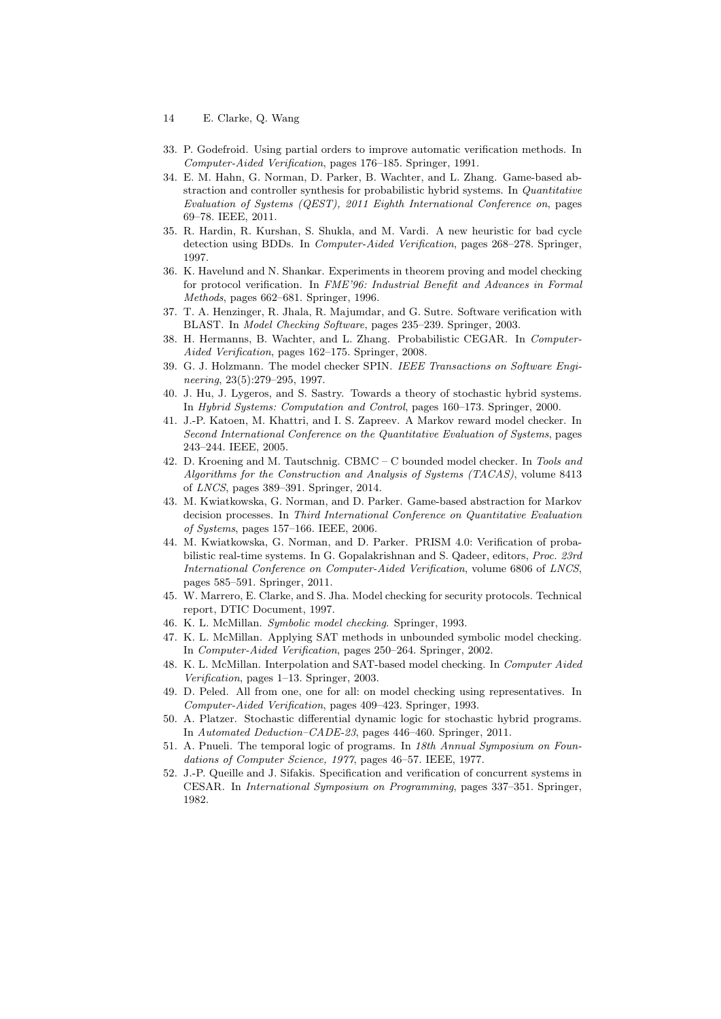- 14 E. Clarke, Q. Wang
- 33. P. Godefroid. Using partial orders to improve automatic verification methods. In Computer-Aided Verification, pages 176–185. Springer, 1991.
- 34. E. M. Hahn, G. Norman, D. Parker, B. Wachter, and L. Zhang. Game-based abstraction and controller synthesis for probabilistic hybrid systems. In Quantitative Evaluation of Systems (QEST), 2011 Eighth International Conference on, pages 69–78. IEEE, 2011.
- 35. R. Hardin, R. Kurshan, S. Shukla, and M. Vardi. A new heuristic for bad cycle detection using BDDs. In Computer-Aided Verification, pages 268–278. Springer, 1997.
- 36. K. Havelund and N. Shankar. Experiments in theorem proving and model checking for protocol verification. In FME'96: Industrial Benefit and Advances in Formal Methods, pages 662–681. Springer, 1996.
- 37. T. A. Henzinger, R. Jhala, R. Majumdar, and G. Sutre. Software verification with BLAST. In Model Checking Software, pages 235–239. Springer, 2003.
- 38. H. Hermanns, B. Wachter, and L. Zhang. Probabilistic CEGAR. In Computer-Aided Verification, pages 162–175. Springer, 2008.
- 39. G. J. Holzmann. The model checker SPIN. IEEE Transactions on Software Engineering, 23(5):279–295, 1997.
- 40. J. Hu, J. Lygeros, and S. Sastry. Towards a theory of stochastic hybrid systems. In Hybrid Systems: Computation and Control, pages 160–173. Springer, 2000.
- 41. J.-P. Katoen, M. Khattri, and I. S. Zapreev. A Markov reward model checker. In Second International Conference on the Quantitative Evaluation of Systems, pages 243–244. IEEE, 2005.
- 42. D. Kroening and M. Tautschnig. CBMC C bounded model checker. In Tools and Algorithms for the Construction and Analysis of Systems (TACAS), volume 8413 of LNCS, pages 389–391. Springer, 2014.
- 43. M. Kwiatkowska, G. Norman, and D. Parker. Game-based abstraction for Markov decision processes. In Third International Conference on Quantitative Evaluation of Systems, pages 157–166. IEEE, 2006.
- 44. M. Kwiatkowska, G. Norman, and D. Parker. PRISM 4.0: Verification of probabilistic real-time systems. In G. Gopalakrishnan and S. Qadeer, editors, Proc. 23rd International Conference on Computer-Aided Verification, volume 6806 of LNCS, pages 585–591. Springer, 2011.
- 45. W. Marrero, E. Clarke, and S. Jha. Model checking for security protocols. Technical report, DTIC Document, 1997.
- 46. K. L. McMillan. Symbolic model checking. Springer, 1993.
- 47. K. L. McMillan. Applying SAT methods in unbounded symbolic model checking. In Computer-Aided Verification, pages 250–264. Springer, 2002.
- 48. K. L. McMillan. Interpolation and SAT-based model checking. In Computer Aided Verification, pages 1–13. Springer, 2003.
- 49. D. Peled. All from one, one for all: on model checking using representatives. In Computer-Aided Verification, pages 409–423. Springer, 1993.
- 50. A. Platzer. Stochastic differential dynamic logic for stochastic hybrid programs. In Automated Deduction–CADE-23, pages 446–460. Springer, 2011.
- 51. A. Pnueli. The temporal logic of programs. In 18th Annual Symposium on Foundations of Computer Science, 1977, pages 46–57. IEEE, 1977.
- 52. J.-P. Queille and J. Sifakis. Specification and verification of concurrent systems in CESAR. In International Symposium on Programming, pages 337–351. Springer, 1982.